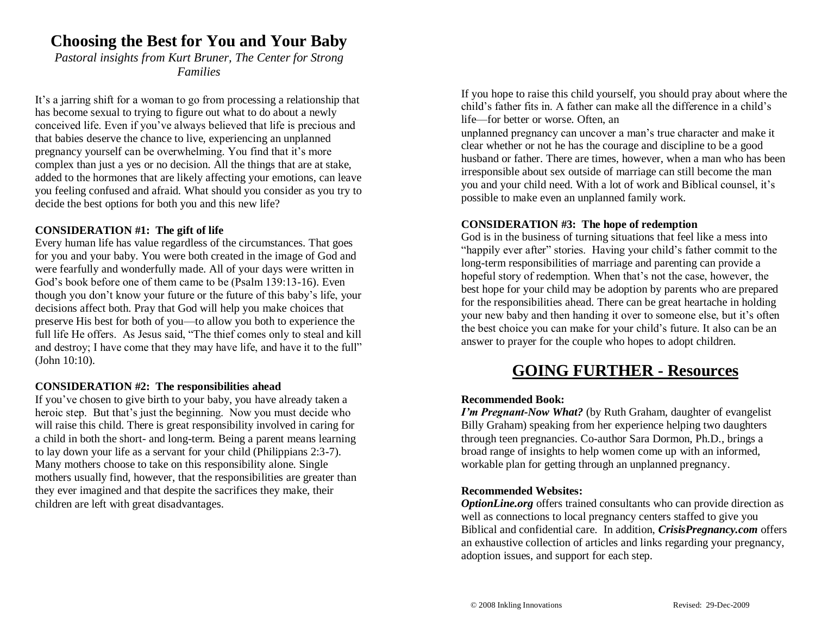## **Choosing the Best for You and Your Baby**

*Pastoral insights from Kurt Bruner, The Center for Strong Families*

It's a jarring shift for a woman to go from processing a relationship that has become sexual to trying to figure out what to do about a newly conceived life. Even if you've always believed that life is precious and that babies deserve the chance to live, experiencing an unplanned pregnancy yourself can be overwhelming. You find that it's more complex than just a yes or no decision. All the things that are at stake, added to the hormones that are likely affecting your emotions, can leave you feeling confused and afraid. What should you consider as you try to decide the best options for both you and this new life?

## **CONSIDERATION #1: The gift of life**

Every human life has value regardless of the circumstances. That goes for you and your baby. You were both created in the image of God and were fearfully and wonderfully made. All of your days were written in God's book before one of them came to be (Psalm 139:13-16). Even though you don't know your future or the future of this baby's life, your decisions affect both. Pray that God will help you make choices that preserve His best for both of you—to allow you both to experience the full life He offers. As Jesus said, "The thief comes only to steal and kill and destroy; I have come that they may have life, and have it to the full" (John 10:10).

## **CONSIDERATION #2: The responsibilities ahead**

If you've chosen to give birth to your baby, you have already taken a heroic step. But that's just the beginning. Now you must decide who will raise this child. There is great responsibility involved in caring for a child in both the short- and long-term. Being a parent means learning to lay down your life as a servant for your child (Philippians 2:3-7). Many mothers choose to take on this responsibility alone. Single mothers usually find, however, that the responsibilities are greater than they ever imagined and that despite the sacrifices they make, their children are left with great disadvantages.

If you hope to raise this child yourself, you should pray about where the child's father fits in. A father can make all the difference in a child's life—for better or worse. Often, an

unplanned pregnancy can uncover a man's true character and make it clear whether or not he has the courage and discipline to be a good husband or father. There are times, however, when a man who has been irresponsible about sex outside of marriage can still become the man you and your child need. With a lot of work and Biblical counsel, it's possible to make even an unplanned family work.

#### **CONSIDERATION #3: The hope of redemption**

God is in the business of turning situations that feel like a mess into "happily ever after" stories. Having your child's father commit to the long-term responsibilities of marriage and parenting can provide a hopeful story of redemption. When that's not the case, however, the best hope for your child may be adoption by parents who are prepared for the responsibilities ahead. There can be great heartache in holding your new baby and then handing it over to someone else, but it's often the best choice you can make for your child's future. It also can be an answer to prayer for the couple who hopes to adopt children.

## **GOING FURTHER - Resources**

#### **Recommended Book:**

*I'm Pregnant-Now What?* (by Ruth Graham, daughter of evangelist Billy Graham) speaking from her experience helping two daughters through teen pregnancies. Co-author Sara Dormon, Ph.D., brings a broad range of insights to help women come up with an informed, workable plan for getting through an unplanned pregnancy.

## **Recommended Websites:**

*OptionLine.org* offers trained consultants who can provide direction as well as connections to local pregnancy centers staffed to give you Biblical and confidential care. In addition, *[CrisisPregnancy.com](http://www.crisispregnancy.com/)* offers an exhaustive collection of articles and links regarding your pregnancy, adoption issues, and support for each step.